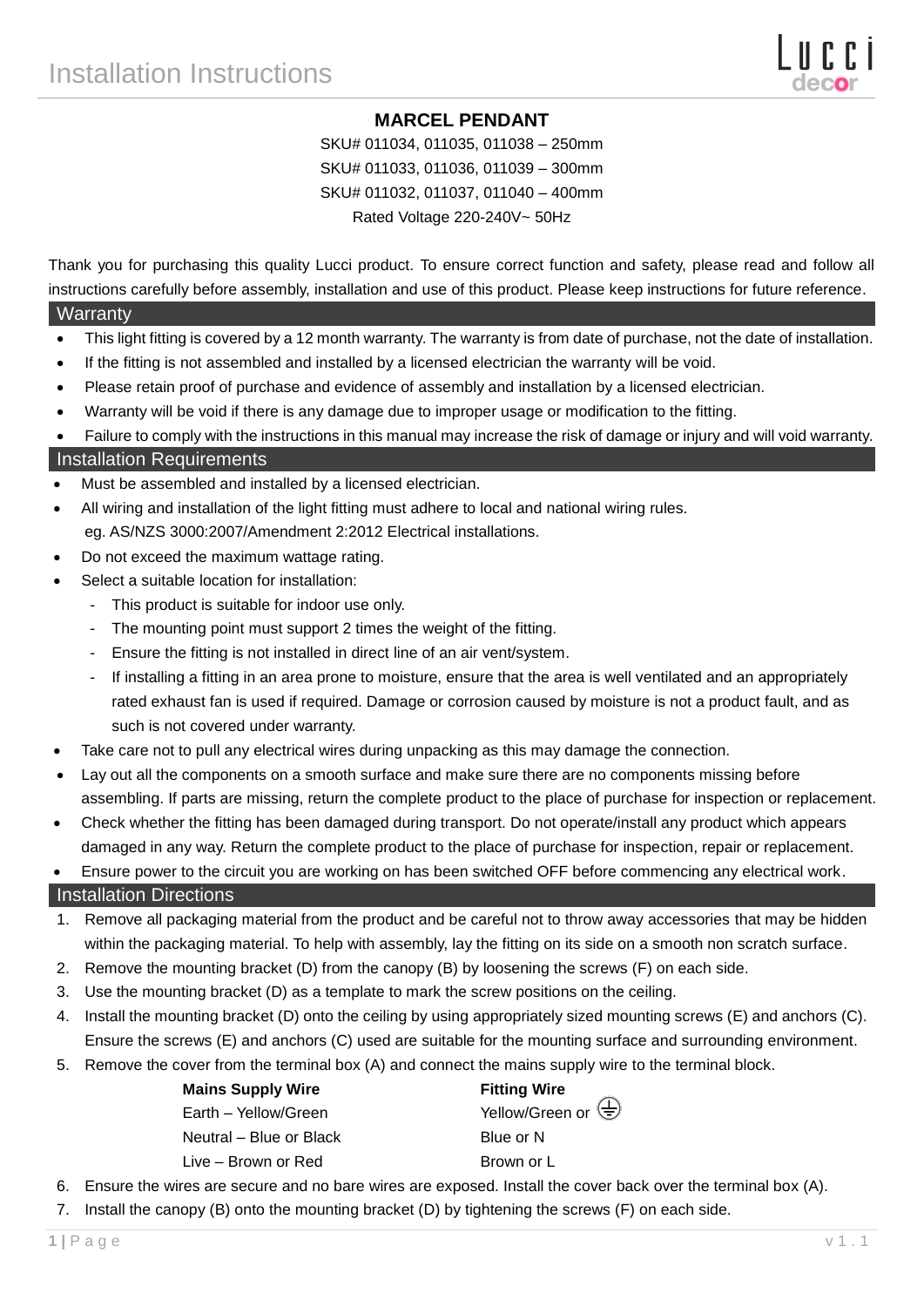## **MARCEL PENDANT**

SKU# 011034, 011035, 011038 – 250mm SKU# 011033, 011036, 011039 – 300mm SKU# 011032, 011037, 011040 – 400mm Rated Voltage 220-240V~ 50Hz

Thank you for purchasing this quality Lucci product. To ensure correct function and safety, please read and follow all instructions carefully before assembly, installation and use of this product. Please keep instructions for future reference.

#### **Warranty**

- This light fitting is covered by a 12 month warranty. The warranty is from date of purchase, not the date of installation.
- If the fitting is not assembled and installed by a licensed electrician the warranty will be void.
- Please retain proof of purchase and evidence of assembly and installation by a licensed electrician.
- Warranty will be void if there is any damage due to improper usage or modification to the fitting.
- Failure to comply with the instructions in this manual may increase the risk of damage or injury and will void warranty.

### Installation Requirements

- Must be assembled and installed by a licensed electrician.
- All wiring and installation of the light fitting must adhere to local and national wiring rules. eg. AS/NZS 3000:2007/Amendment 2:2012 Electrical installations.
- Do not exceed the maximum wattage rating.
- Select a suitable location for installation:
	- This product is suitable for indoor use only.
	- The mounting point must support 2 times the weight of the fitting.
	- Ensure the fitting is not installed in direct line of an air vent/system.
	- If installing a fitting in an area prone to moisture, ensure that the area is well ventilated and an appropriately rated exhaust fan is used if required. Damage or corrosion caused by moisture is not a product fault, and as such is not covered under warranty.
- Take care not to pull any electrical wires during unpacking as this may damage the connection.
- Lay out all the components on a smooth surface and make sure there are no components missing before assembling. If parts are missing, return the complete product to the place of purchase for inspection or replacement.
- Check whether the fitting has been damaged during transport. Do not operate/install any product which appears damaged in any way. Return the complete product to the place of purchase for inspection, repair or replacement.

Ensure power to the circuit you are working on has been switched OFF before commencing any electrical work.

#### Installation Directions

- 1. Remove all packaging material from the product and be careful not to throw away accessories that may be hidden within the packaging material. To help with assembly, lay the fitting on its side on a smooth non scratch surface.
- 2. Remove the mounting bracket (D) from the canopy (B) by loosening the screws (F) on each side.
- 3. Use the mounting bracket (D) as a template to mark the screw positions on the ceiling.
- 4. Install the mounting bracket (D) onto the ceiling by using appropriately sized mounting screws (E) and anchors (C). Ensure the screws (E) and anchors (C) used are suitable for the mounting surface and surrounding environment.
- 5. Remove the cover from the terminal box (A) and connect the mains supply wire to the terminal block.

| <b>Mains Supply Wire</b> | <b>Fitting Wire</b> |
|--------------------------|---------------------|
| Earth - Yellow/Green     | Yellow/Green or     |
| Neutral – Blue or Black  | Blue or N           |
| Live – Brown or Red      | Brown or L          |
|                          |                     |

- 6. Ensure the wires are secure and no bare wires are exposed. Install the cover back over the terminal box (A).
- 7. Install the canopy (B) onto the mounting bracket (D) by tightening the screws (F) on each side.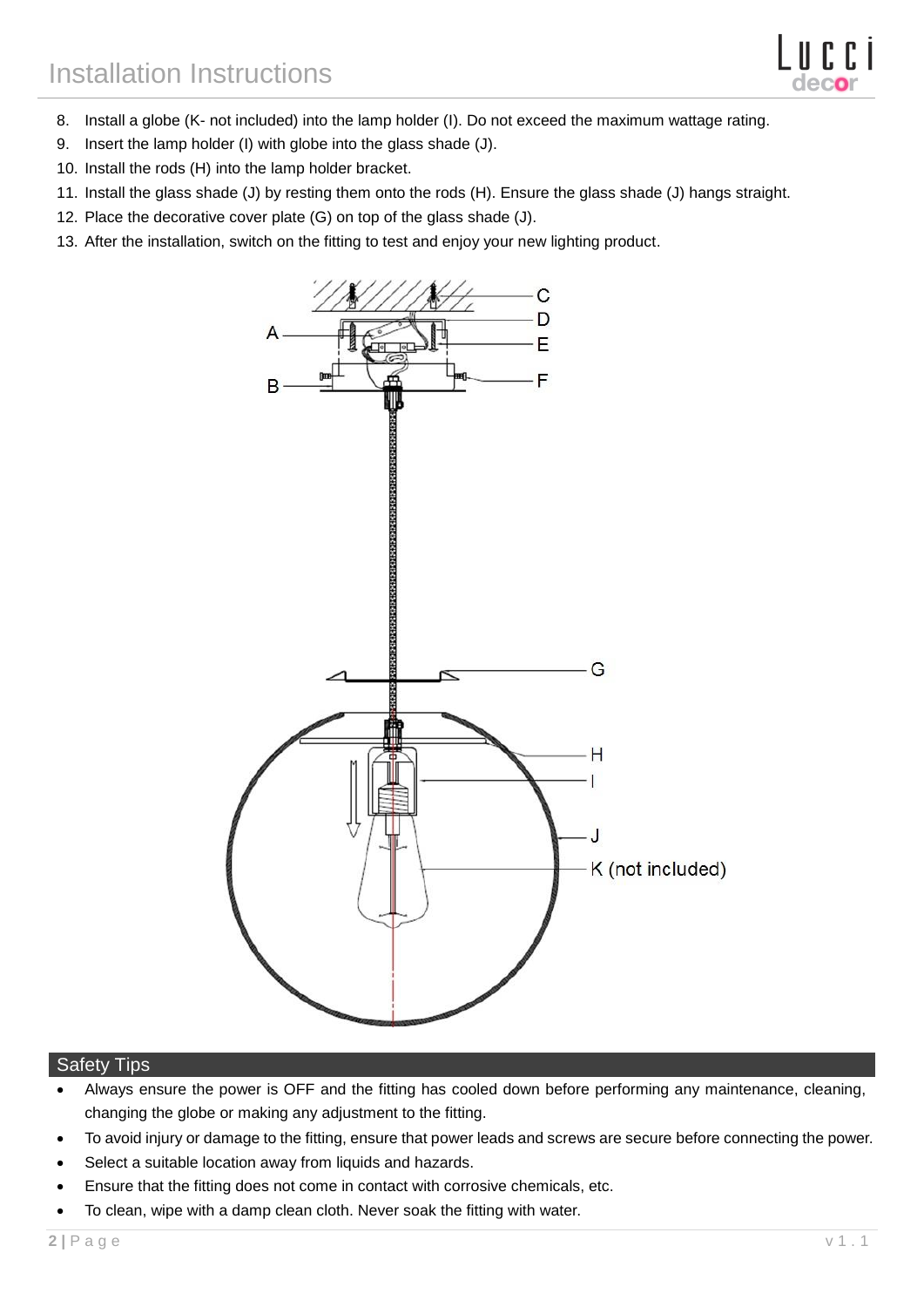

- 8. Install a globe (K- not included) into the lamp holder (I). Do not exceed the maximum wattage rating.
- 9. Insert the lamp holder (I) with globe into the glass shade (J).
- 10. Install the rods (H) into the lamp holder bracket.
- 11. Install the glass shade (J) by resting them onto the rods (H). Ensure the glass shade (J) hangs straight.
- 12. Place the decorative cover plate (G) on top of the glass shade (J).
- 13. After the installation, switch on the fitting to test and enjoy your new lighting product.



#### Safety Tips

- Always ensure the power is OFF and the fitting has cooled down before performing any maintenance, cleaning, changing the globe or making any adjustment to the fitting.
- To avoid injury or damage to the fitting, ensure that power leads and screws are secure before connecting the power.
- Select a suitable location away from liquids and hazards.
- Ensure that the fitting does not come in contact with corrosive chemicals, etc.
- To clean, wipe with a damp clean cloth. Never soak the fitting with water.